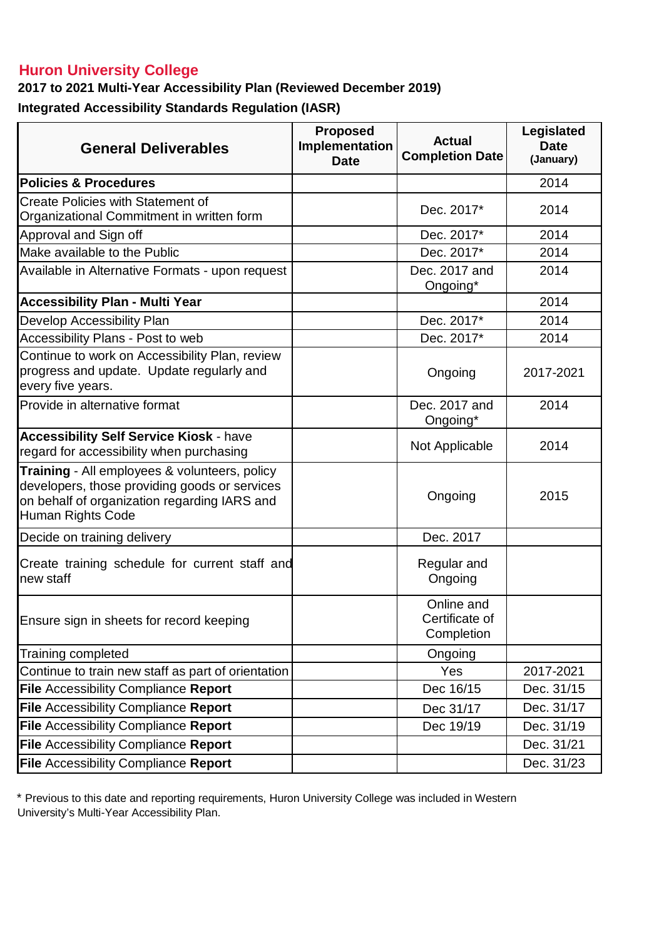## **Huron University College**

**2017 to 2021 Multi-Year Accessibility Plan (Reviewed December 2019)**

**Integrated Accessibility Standards Regulation (IASR)** 

| <b>General Deliverables</b>                                                                                                                                         | <b>Proposed</b><br>Implementation<br><b>Date</b> | <b>Actual</b><br><b>Completion Date</b>    | Legislated<br><b>Date</b><br>(January) |
|---------------------------------------------------------------------------------------------------------------------------------------------------------------------|--------------------------------------------------|--------------------------------------------|----------------------------------------|
| <b>Policies &amp; Procedures</b>                                                                                                                                    |                                                  |                                            | 2014                                   |
| <b>Create Policies with Statement of</b><br>Organizational Commitment in written form                                                                               |                                                  | Dec. 2017*                                 | 2014                                   |
| Approval and Sign off                                                                                                                                               |                                                  | Dec. 2017*                                 | 2014                                   |
| Make available to the Public                                                                                                                                        |                                                  | Dec. 2017*                                 | 2014                                   |
| Available in Alternative Formats - upon request                                                                                                                     |                                                  | Dec. 2017 and<br>Ongoing*                  | 2014                                   |
| <b>Accessibility Plan - Multi Year</b>                                                                                                                              |                                                  |                                            | 2014                                   |
| Develop Accessibility Plan                                                                                                                                          |                                                  | Dec. 2017*                                 | 2014                                   |
| Accessibility Plans - Post to web                                                                                                                                   |                                                  | Dec. 2017*                                 | 2014                                   |
| Continue to work on Accessibility Plan, review<br>progress and update. Update regularly and<br>every five years.                                                    |                                                  | Ongoing                                    | 2017-2021                              |
| Provide in alternative format                                                                                                                                       |                                                  | Dec. 2017 and<br>Ongoing*                  | 2014                                   |
| <b>Accessibility Self Service Kiosk - have</b><br>regard for accessibility when purchasing                                                                          |                                                  | Not Applicable                             | 2014                                   |
| Training - All employees & volunteers, policy<br>developers, those providing goods or services<br>on behalf of organization regarding IARS and<br>Human Rights Code |                                                  | Ongoing                                    | 2015                                   |
| Decide on training delivery                                                                                                                                         |                                                  | Dec. 2017                                  |                                        |
| Create training schedule for current staff and<br>new staff                                                                                                         |                                                  | Regular and<br>Ongoing                     |                                        |
| Ensure sign in sheets for record keeping                                                                                                                            |                                                  | Online and<br>Certificate of<br>Completion |                                        |
| Training completed                                                                                                                                                  |                                                  | Ongoing                                    |                                        |
| Continue to train new staff as part of orientation                                                                                                                  |                                                  | Yes                                        | 2017-2021                              |
| <b>File Accessibility Compliance Report</b>                                                                                                                         |                                                  | Dec 16/15                                  | Dec. 31/15                             |
| <b>File Accessibility Compliance Report</b>                                                                                                                         |                                                  | Dec 31/17                                  | Dec. 31/17                             |
| <b>File Accessibility Compliance Report</b>                                                                                                                         |                                                  | Dec 19/19                                  | Dec. 31/19                             |
| <b>File Accessibility Compliance Report</b>                                                                                                                         |                                                  |                                            | Dec. 31/21                             |
| File Accessibility Compliance Report                                                                                                                                |                                                  |                                            | Dec. 31/23                             |

\* Previous to this date and reporting requirements, Huron University College was included in Western University's Multi-Year Accessibility Plan.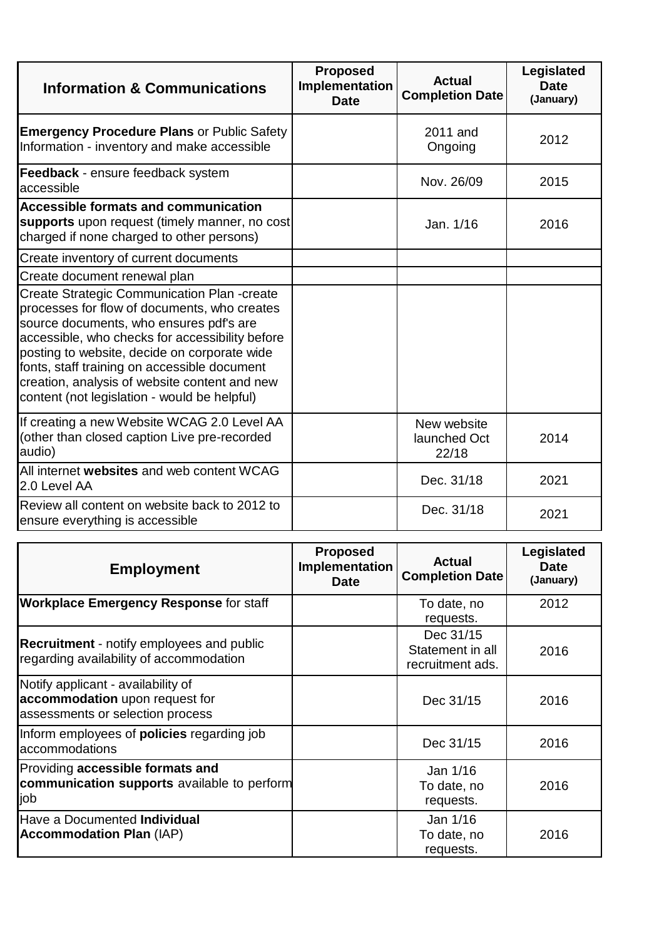| <b>Information &amp; Communications</b>                                                                                                                                                                                                                                                                                                                                                           | <b>Proposed</b><br>Implementation<br><b>Date</b> | <b>Actual</b><br><b>Completion Date</b> | Legislated<br><b>Date</b><br>(January) |
|---------------------------------------------------------------------------------------------------------------------------------------------------------------------------------------------------------------------------------------------------------------------------------------------------------------------------------------------------------------------------------------------------|--------------------------------------------------|-----------------------------------------|----------------------------------------|
| <b>Emergency Procedure Plans or Public Safety</b><br>Information - inventory and make accessible                                                                                                                                                                                                                                                                                                  |                                                  | 2011 and<br>Ongoing                     | 2012                                   |
| Feedback - ensure feedback system<br>accessible                                                                                                                                                                                                                                                                                                                                                   |                                                  | Nov. 26/09                              | 2015                                   |
| <b>Accessible formats and communication</b><br>supports upon request (timely manner, no cost<br>charged if none charged to other persons)                                                                                                                                                                                                                                                         |                                                  | Jan. 1/16                               | 2016                                   |
| Create inventory of current documents                                                                                                                                                                                                                                                                                                                                                             |                                                  |                                         |                                        |
| Create document renewal plan                                                                                                                                                                                                                                                                                                                                                                      |                                                  |                                         |                                        |
| <b>Create Strategic Communication Plan -create</b><br>processes for flow of documents, who creates<br>source documents, who ensures pdf's are<br>accessible, who checks for accessibility before<br>posting to website, decide on corporate wide<br>fonts, staff training on accessible document<br>creation, analysis of website content and new<br>content (not legislation - would be helpful) |                                                  |                                         |                                        |
| If creating a new Website WCAG 2.0 Level AA<br>(other than closed caption Live pre-recorded<br>audio)                                                                                                                                                                                                                                                                                             |                                                  | New website<br>launched Oct<br>22/18    | 2014                                   |
| All internet websites and web content WCAG<br>2.0 Level AA                                                                                                                                                                                                                                                                                                                                        |                                                  | Dec. 31/18                              | 2021                                   |
| Review all content on website back to 2012 to<br>ensure everything is accessible                                                                                                                                                                                                                                                                                                                  |                                                  | Dec. 31/18                              | 2021                                   |

| <b>Employment</b>                                                                                        | <b>Proposed</b><br>Implementation<br>Date | <b>Actual</b><br><b>Completion Date</b>           | Legislated<br><b>Date</b><br>(January) |
|----------------------------------------------------------------------------------------------------------|-------------------------------------------|---------------------------------------------------|----------------------------------------|
| <b>Workplace Emergency Response for staff</b>                                                            |                                           | To date, no<br>requests.                          | 2012                                   |
| <b>Recruitment</b> - notify employees and public<br>regarding availability of accommodation              |                                           | Dec 31/15<br>Statement in all<br>recruitment ads. | 2016                                   |
| Notify applicant - availability of<br>accommodation upon request for<br>assessments or selection process |                                           | Dec 31/15                                         | 2016                                   |
| Inform employees of <b>policies</b> regarding job<br>accommodations                                      |                                           | Dec 31/15                                         | 2016                                   |
| Providing accessible formats and<br>communication supports available to perform<br>job                   |                                           | Jan 1/16<br>To date, no<br>requests.              | 2016                                   |
| Have a Documented Individual<br><b>Accommodation Plan (IAP)</b>                                          |                                           | Jan 1/16<br>To date, no<br>requests.              | 2016                                   |